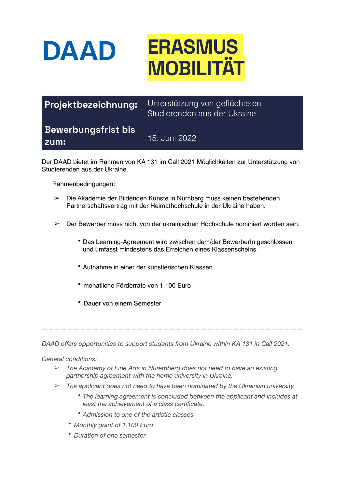

| Projektbezeichnung:                | Unterstützung von geflüchteten<br>Studierenden aus der Ukraine |
|------------------------------------|----------------------------------------------------------------|
| <b>Bewerbungsfrist bis</b><br>zum: | 15. Juni 2022 <sup>1</sup>                                     |

Der DAAD bietet im Rahmen von KA 131 im Call 2021 Möglichkeiten zur Unterstützung von Studierenden aus der Ukraine.

Rahmenbedingungen:

- ➢ Die Akademie der Bildenden Künste in Nürnberg muss keinen bestehenden Partnerschaftsvertrag mit der Heimathochschule in der Ukraine haben.
- $\geq$  Der Bewerber muss nicht von der ukrainischen Hochschule nominiert worden sein.
	- Das Learning-Agreement wird zwischen dem/der BewerberIn geschlossen und umfasst mindestens das Erreichen eines Klassenscheins.
	- Aufnahme in einer der künstlerischen Klassen
	- monatliche Förderrate von 1.100 Euro
	- Dauer von einem Semester

*DAAD offers opportunities to support students from Ukraine within KA 131 in Call 2021.* 

*—————————————————————————————————————————* 

*General conditions:* 

- ➢ *The Academy of Fine Arts in Nuremberg does not need to have an existing partnership agreement with the home university in Ukraine.*
- ➢ *The applicant does not need to have been nominated by the Ukrainian university.* 
	- *The learning agreement is concluded between the applicant and includes at least the achievement of a class certificate.*
	- *Admission to one of the artistic classes*
	- *Monthly grant of 1.100 Euro*
	- *Duration of one semester*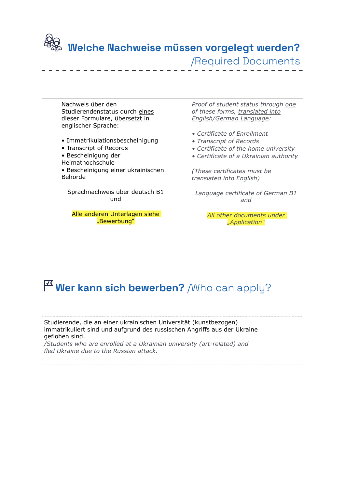

### **Welche Nachweise müssen vorgelegt werden?** /Required Documents

Nachweis über den Studierendenstatus durch eines dieser Formulare, übersetzt in englischer Sprache:

- Immatrikulationsbescheinigung
- Transcript of Records
- Bescheinigung der
- Heimathochschule

• Bescheinigung einer ukrainischen Behörde

#### Sprachnachweis über deutsch B1 und

#### Alle anderen Unterlagen siehe "Bewerbung"

*Proof of student status through one of these forms, translated into English/German Language:*

- *Certificate of Enrollment*
- *Transcript of Records*
- *Certificate of the home university*
- *Certificate of a Ukrainian authority*

*(These certificates must be translated into English)*

*Language certificate of German B1 and*

> *All other documents under "Application"*

## **Wer kann sich bewerben?** /Who can apply?

Studierende, die an einer ukrainischen Universität (kunstbezogen) immatrikuliert sind und aufgrund des russischen Angriffs aus der Ukraine geflohen sind.

*/Students who are enrolled at a Ukrainian university (art-related) and fled Ukraine due to the Russian attack.*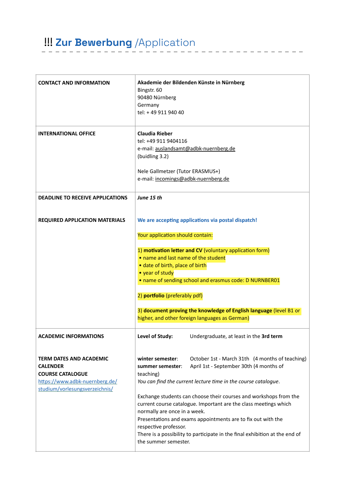# !!! **Zur Bewerbung** /Application

| <b>CONTACT AND INFORMATION</b>                                                                                                                   | Bingstr. 60<br>90480 Nürnberg<br>Germany<br>tel: +49 911 940 40                                                                                                                     | Akademie der Bildenden Künste in Nürnberg                                                                                                                                                                                                                                                                                                                                                                                                            |
|--------------------------------------------------------------------------------------------------------------------------------------------------|-------------------------------------------------------------------------------------------------------------------------------------------------------------------------------------|------------------------------------------------------------------------------------------------------------------------------------------------------------------------------------------------------------------------------------------------------------------------------------------------------------------------------------------------------------------------------------------------------------------------------------------------------|
| <b>INTERNATIONAL OFFICE</b>                                                                                                                      | <b>Claudia Rieber</b><br>tel: +49 911 9404116<br>e-mail: auslandsamt@adbk-nuernberg.de<br>(buidling 3.2)<br>Nele Gallmetzer (Tutor ERASMUS+)<br>e-mail: incomings@adbk-nuernberg.de |                                                                                                                                                                                                                                                                                                                                                                                                                                                      |
| <b>DEADLINE TO RECEIVE APPLICATIONS</b>                                                                                                          | June 15 th                                                                                                                                                                          |                                                                                                                                                                                                                                                                                                                                                                                                                                                      |
| <b>REQUIRED APPLICATION MATERIALS</b>                                                                                                            | Your application should contain:<br>• name and last name of the student<br>· date of birth, place of birth<br>• year of study<br>2) portfolio (preferably pdf)                      | We are accepting applications via postal dispatch!<br>1) motivation letter and CV (voluntary application form)<br>• name of sending school and erasmus code: D NURNBER01<br>3) document proving the knowledge of English language (level B1 or<br>higher, and other foreign languages as German)                                                                                                                                                     |
| <b>ACADEMIC INFORMATIONS</b>                                                                                                                     | Level of Study:                                                                                                                                                                     | Undergraduate, at least in the 3rd term                                                                                                                                                                                                                                                                                                                                                                                                              |
| <b>TERM DATES AND ACADEMIC</b><br><b>CALENDER</b><br><b>COURSE CATALOGUE</b><br>https://www.adbk-nuernberg.de/<br>studium/vorlesungsverzeichnis/ | winter semester:<br>summer semester:<br>teaching)<br>normally are once in a week.<br>respective professor.<br>the summer semester.                                                  | October 1st - March 31th (4 months of teaching)<br>April 1st - September 30th (4 months of<br>You can find the current lecture time in the course catalogue.<br>Exchange students can choose their courses and workshops from the<br>current course catalogue. Important are the class meetings which<br>Presentations and exams appointments are to fix out with the<br>There is a possibility to participate in the final exhibition at the end of |

\_ \_ \_ \_ \_ \_ \_ \_ \_ .

 $- - -$